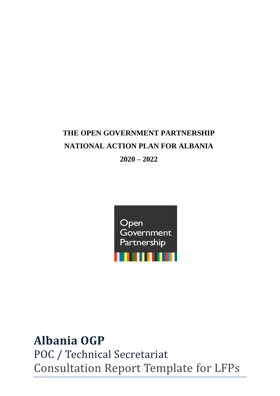## **THE OPEN GOVERNMENT PARTNERSHIP NATIONAL ACTION PLAN FOR ALBANIA**

**2020 – 2022**



## **Albania OGP**

POC / Technical Secretariat Consultation Report Template for LFPs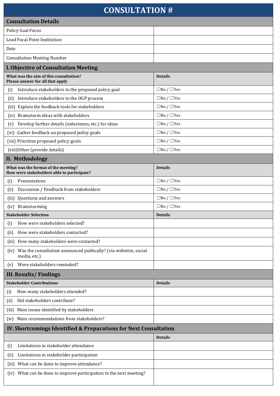## **CONSULTATION #**

| <b>CONSULTATION #</b>                                                                    |                              |  |  |  |  |
|------------------------------------------------------------------------------------------|------------------------------|--|--|--|--|
| <b>Consultation Details</b>                                                              |                              |  |  |  |  |
| <b>Policy Goal Focus</b>                                                                 |                              |  |  |  |  |
| Lead Focal Point Institution                                                             |                              |  |  |  |  |
| Date                                                                                     |                              |  |  |  |  |
| <b>Consultation Meeting Number</b>                                                       |                              |  |  |  |  |
| <b>I. Objective of Consultation Meeting</b>                                              |                              |  |  |  |  |
| What was the aim of this consultation?<br>Please answer for all that apply               | <b>Details</b>               |  |  |  |  |
| Introduce stakeholders to the proposed policy goal<br>(i)                                | $\square$ No / $\square$ Yes |  |  |  |  |
| Introduce stakeholders to the OGP process<br>(ii)                                        | $\square$ No / $\square$ Yes |  |  |  |  |
| (iii) Explain the feedback tools for stakeholders                                        | $\square$ No / $\square$ Yes |  |  |  |  |
| Brainstorm ideas with stakeholders<br>(iv)                                               | $\square$ No / $\square$ Yes |  |  |  |  |
| Develop further details (milestones, etc.) for ideas<br>(v)                              | $\square$ No / $\square$ Yes |  |  |  |  |
| (vi) Gather feedback on proposed policy goals                                            | $\square$ No / $\square$ Yes |  |  |  |  |
| (vii) Prioritize proposed policy goals                                                   | $\square$ No / $\square$ Yes |  |  |  |  |
| (viii) Other (provide details)                                                           | $\square$ No / $\square$ Yes |  |  |  |  |
| <b>II. Methodology</b>                                                                   |                              |  |  |  |  |
| What was the format of the meeting?<br>How were stakeholders able to participate?        | <b>Details</b>               |  |  |  |  |
| Presentations<br>(i)                                                                     | $\Box$ No / $\Box$ Yes       |  |  |  |  |
| Discussion / Feedback from stakeholders<br>(ii)                                          | $\square$ No / $\square$ Yes |  |  |  |  |
| Questions and answers<br>(iii)                                                           | $\square$ No / $\square$ Yes |  |  |  |  |
| Brainstorming<br>(iv)                                                                    | $\square$ No / $\square$ Yes |  |  |  |  |
| <b>Stakeholder Selection</b>                                                             | <b>Details</b>               |  |  |  |  |
| How were stakeholders selected?<br>(i)                                                   |                              |  |  |  |  |
| How were stakeholders contacted?<br>(ii)                                                 |                              |  |  |  |  |
| (iii) How many stakeholders were contacted?                                              |                              |  |  |  |  |
| Was the consultation announced publically? (via websites, social<br>(iv)<br>media, etc.) |                              |  |  |  |  |
| Were stakeholders reminded?<br>(v)                                                       |                              |  |  |  |  |
| <b>III. Results/Findings</b>                                                             |                              |  |  |  |  |
| <b>Stakeholder Contributions</b>                                                         | <b>Details</b>               |  |  |  |  |
| How many stakeholders attended?<br>(i)                                                   |                              |  |  |  |  |
| Did stakeholders contribute?<br>(i)                                                      |                              |  |  |  |  |
| (iii) Main issues identified by stakeholders                                             |                              |  |  |  |  |
| Main recommendations from stakeholders?<br>(iv)                                          |                              |  |  |  |  |
| IV. Shortcomings Identified & Preparations for Next Consultation                         |                              |  |  |  |  |
|                                                                                          | <b>Details</b>               |  |  |  |  |
| Limitations in stakeholder attendance<br>(i)                                             |                              |  |  |  |  |
| Limitations in stakeholder participation<br>(ii)                                         |                              |  |  |  |  |
| (iii) What can be done to improve attendance?                                            |                              |  |  |  |  |
| (iv) What can be done to improve participation in the next meeting?                      |                              |  |  |  |  |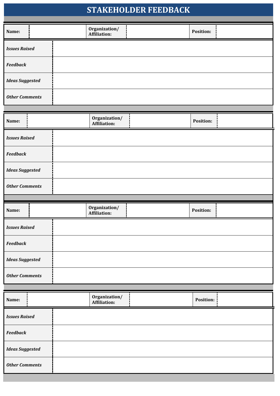| <b>STAKEHOLDER FEEDBACK</b> |  |                                      |                  |  |
|-----------------------------|--|--------------------------------------|------------------|--|
| Name:                       |  | Organization/<br><b>Affiliation:</b> | Position:        |  |
| <b>Issues Raised</b>        |  |                                      |                  |  |
| <b>Feedback</b>             |  |                                      |                  |  |
| <b>Ideas Suggested</b>      |  |                                      |                  |  |
| <b>Other Comments</b>       |  |                                      |                  |  |
| Name:                       |  | Organization/<br><b>Affiliation:</b> | Position:        |  |
| <b>Issues Raised</b>        |  |                                      |                  |  |
| <b>Feedback</b>             |  |                                      |                  |  |
| <b>Ideas Suggested</b>      |  |                                      |                  |  |
| <b>Other Comments</b>       |  |                                      |                  |  |
|                             |  |                                      |                  |  |
| Name:                       |  | Organization/<br><b>Affiliation:</b> | Position:        |  |
| <b>Issues Raised</b>        |  |                                      |                  |  |
| <b>Feedback</b>             |  |                                      |                  |  |
| <b>Ideas Suggested</b>      |  |                                      |                  |  |
| <b>Other Comments</b>       |  |                                      |                  |  |
|                             |  |                                      |                  |  |
| Name:                       |  | Organization/<br><b>Affiliation:</b> | <b>Position:</b> |  |
|                             |  |                                      |                  |  |
| <b>Issues Raised</b>        |  |                                      |                  |  |
| <b>Feedback</b>             |  |                                      |                  |  |
| <b>Ideas Suggested</b>      |  |                                      |                  |  |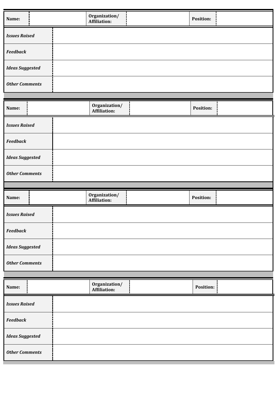| Name:                  | Organization/<br><b>Affiliation:</b> | Position:        |  |
|------------------------|--------------------------------------|------------------|--|
| <b>Issues Raised</b>   |                                      |                  |  |
| <b>Feedback</b>        |                                      |                  |  |
| <b>Ideas Suggested</b> |                                      |                  |  |
| <b>Other Comments</b>  |                                      |                  |  |
|                        |                                      |                  |  |
| Name:                  | Organization/<br><b>Affiliation:</b> | <b>Position:</b> |  |
| <b>Issues Raised</b>   |                                      |                  |  |
| <b>Feedback</b>        |                                      |                  |  |
| <b>Ideas Suggested</b> |                                      |                  |  |
| <b>Other Comments</b>  |                                      |                  |  |
|                        |                                      |                  |  |
|                        |                                      |                  |  |
| Name:                  | Organization/<br><b>Affiliation:</b> | Position:        |  |
| <b>Issues Raised</b>   |                                      |                  |  |
| <b>Feedback</b>        |                                      |                  |  |
| <b>Ideas Suggested</b> |                                      |                  |  |
| <b>Other Comments</b>  |                                      |                  |  |
|                        |                                      |                  |  |
| Name:                  | Organization/<br><b>Affiliation:</b> | Position:        |  |
| <b>Issues Raised</b>   |                                      |                  |  |
| <b>Feedback</b>        |                                      |                  |  |
| <b>Ideas Suggested</b> |                                      |                  |  |